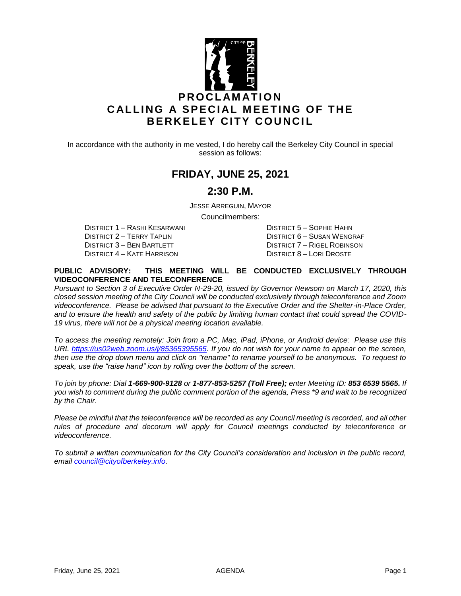

In accordance with the authority in me vested, I do hereby call the Berkeley City Council in special session as follows:

## **FRIDAY, JUNE 25, 2021**

### **2:30 P.M.**

JESSE ARREGUIN, MAYOR

Councilmembers:

DISTRICT 2 – TERRY TAPLIN DISTRICT 6 – SUSAN WENGRAF DISTRICT 3 – BEN BARTLETT DISTRICT 7 – RIGEL ROBINSON<br>DISTRICT 4 – KATE HARRISON DISTRICT 8 – LORI DROSTE

DISTRICT 1 – RASHI KESARWANI DISTRICT 5 – SOPHIE HAHN DISTRICT 8 – LORI DROSTE

#### **PUBLIC ADVISORY: THIS MEETING WILL BE CONDUCTED EXCLUSIVELY THROUGH VIDEOCONFERENCE AND TELECONFERENCE**

*Pursuant to Section 3 of Executive Order N-29-20, issued by Governor Newsom on March 17, 2020, this closed session meeting of the City Council will be conducted exclusively through teleconference and Zoom videoconference. Please be advised that pursuant to the Executive Order and the Shelter-in-Place Order, and to ensure the health and safety of the public by limiting human contact that could spread the COVID-19 virus, there will not be a physical meeting location available.* 

*To access the meeting remotely: Join from a PC, Mac, iPad, iPhone, or Android device: Please use this URL [https://us02web.zoom.us/j/85365395565.](https://us02web.zoom.us/j/85365395565) If you do not wish for your name to appear on the screen, then use the drop down menu and click on "rename" to rename yourself to be anonymous. To request to speak, use the "raise hand" icon by rolling over the bottom of the screen.* 

*To join by phone: Dial 1-669-900-9128 or 1-877-853-5257 (Toll Free); enter Meeting ID: 853 6539 5565. If you wish to comment during the public comment portion of the agenda, Press \*9 and wait to be recognized by the Chair.* 

*Please be mindful that the teleconference will be recorded as any Council meeting is recorded, and all other rules of procedure and decorum will apply for Council meetings conducted by teleconference or videoconference.*

*To submit a written communication for the City Council's consideration and inclusion in the public record, email [council@cityofberkeley.info.](mailto:council@cityofberkeley.info)*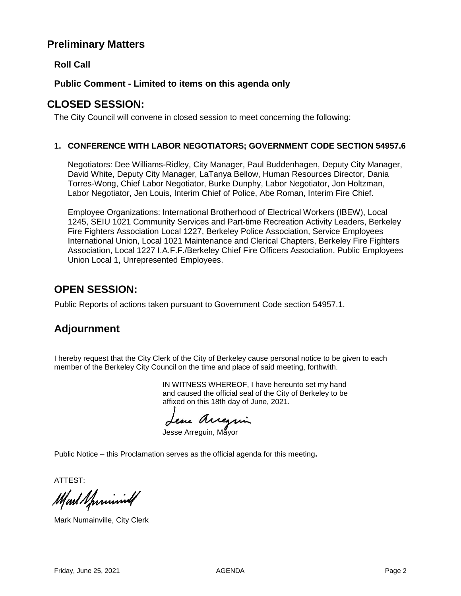## **Preliminary Matters**

**Roll Call**

#### **Public Comment - Limited to items on this agenda only**

## **CLOSED SESSION:**

The City Council will convene in closed session to meet concerning the following:

#### **1. CONFERENCE WITH LABOR NEGOTIATORS; GOVERNMENT CODE SECTION 54957.6**

Negotiators: Dee Williams-Ridley, City Manager, Paul Buddenhagen, Deputy City Manager, David White, Deputy City Manager, LaTanya Bellow, Human Resources Director, Dania Torres-Wong, Chief Labor Negotiator, Burke Dunphy, Labor Negotiator, Jon Holtzman, Labor Negotiator, Jen Louis, Interim Chief of Police, Abe Roman, Interim Fire Chief.

Employee Organizations: International Brotherhood of Electrical Workers (IBEW), Local 1245, SEIU 1021 Community Services and Part-time Recreation Activity Leaders, Berkeley Fire Fighters Association Local 1227, Berkeley Police Association, Service Employees International Union, Local 1021 Maintenance and Clerical Chapters, Berkeley Fire Fighters Association, Local 1227 I.A.F.F./Berkeley Chief Fire Officers Association, Public Employees Union Local 1, Unrepresented Employees.

## **OPEN SESSION:**

Public Reports of actions taken pursuant to Government Code section 54957.1.

# **Adjournment**

I hereby request that the City Clerk of the City of Berkeley cause personal notice to be given to each member of the Berkeley City Council on the time and place of said meeting, forthwith.

> IN WITNESS WHEREOF, I have hereunto set my hand and caused the official seal of the City of Berkeley to be affixed on this 18th day of June, 2021.

Lesse Arregin

Jesse Arreguin, Mayor

Public Notice – this Proclamation serves as the official agenda for this meeting**.**

ATTEST:

Mart Sprinning

Mark Numainville, City Clerk